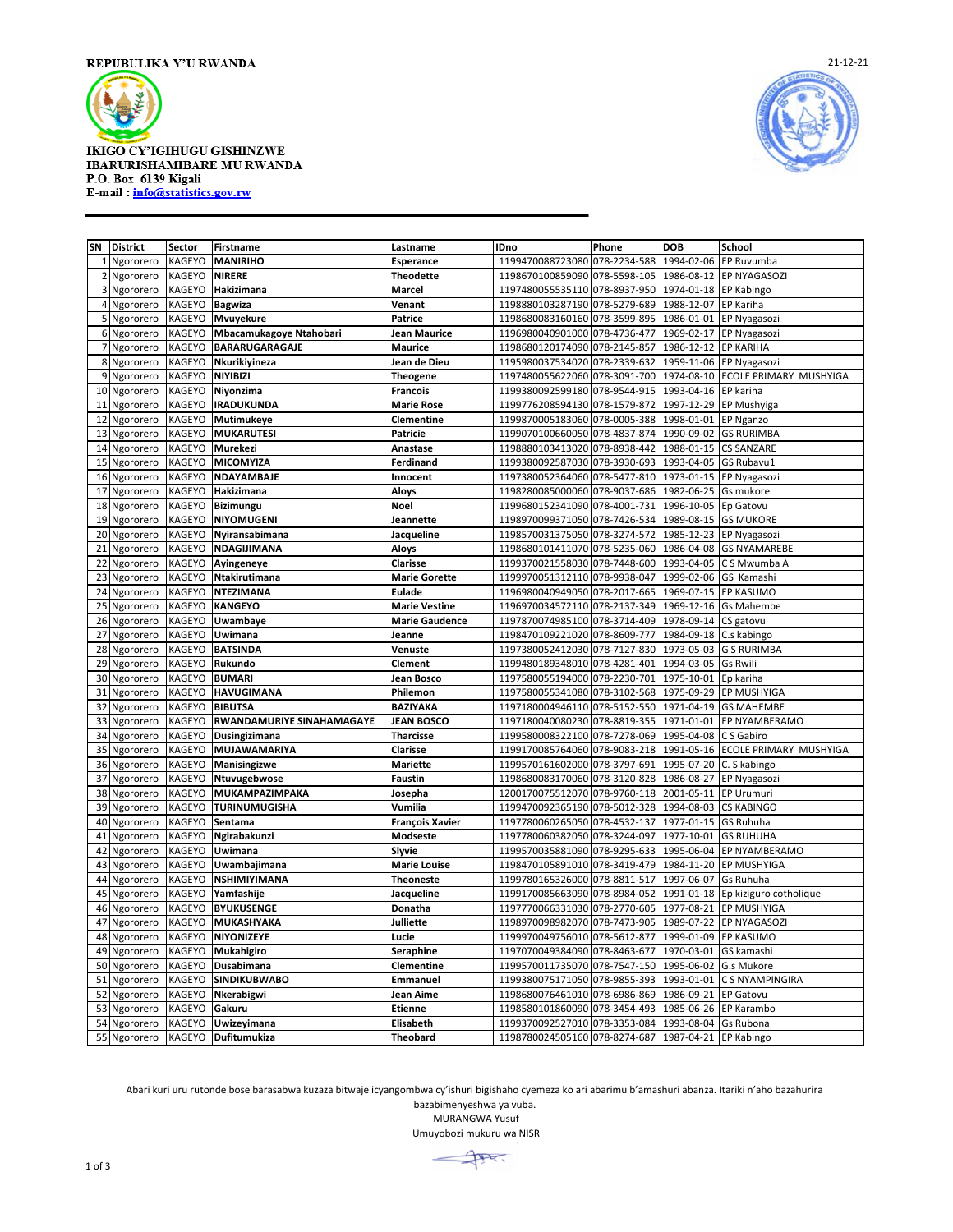

## **IKIGO CY'IGIHUGU GISHINZWE IBARURISHAMIBARE MU RWANDA** P.O. Box 6139 Kigali E-mail: info@statistics.gov.rw



| SN | <b>District</b> | <b>Sector</b> | <b>Firstname</b>                 | Lastname               | <b>IDno</b>                              | Phone        | <b>DOB</b>            | School                            |
|----|-----------------|---------------|----------------------------------|------------------------|------------------------------------------|--------------|-----------------------|-----------------------------------|
|    | 1 Ngororero     | KAGEYO        | <b>MANIRIHO</b>                  | Esperance              | 1199470088723080                         | 078-2234-588 | 1994-02-06            | EP Ruvumba                        |
|    | 2 Ngororero     | KAGEYO        | <b>NIRERE</b>                    | <b>Theodette</b>       | 1198670100859090                         | 078-5598-105 | 1986-08-12            | EP NYAGASOZI                      |
|    | 3 Ngororero     | KAGEYO        | Hakizimana                       | Marcel                 | 1197480055535110                         | 078-8937-950 | 1974-01-18 EP Kabingo |                                   |
|    | 4 Ngororero     | KAGEYO        | <b>Bagwiza</b>                   | Venant                 | 1198880103287190                         | 078-5279-689 | 1988-12-07            | <b>EP Kariha</b>                  |
|    | 5 Ngororero     | KAGEYO        | Mvuyekure                        | Patrice                | 1198680083160160                         | 078-3599-895 | 1986-01-01            | <b>EP Nyagasozi</b>               |
|    | 6 Ngororero     | KAGEYO        | Mbacamukagoye Ntahobari          | Jean Maurice           | 1196980040901000 078-4736-477            |              | 1969-02-17            | EP Nyagasozi                      |
| 7  | Ngororero       | KAGEYO        | <b>BARARUGARAGAJE</b>            | <b>Maurice</b>         | 1198680120174090                         | 078-2145-857 | 1986-12-12 EP KARIHA  |                                   |
|    | 8 Ngororero     | KAGEYO        | Nkurikiyineza                    | Jean de Dieu           | 1195980037534020                         | 078-2339-632 | 1959-11-06            | <b>EP Nyagasozi</b>               |
|    | 9 Ngororero     | KAGEYO        | <b>NIYIBIZI</b>                  | <b>Theogene</b>        | 1197480055622060                         | 078-3091-700 | 1974-08-10            | ECOLE PRIMARY MUSHYIGA            |
|    | 10 Ngororero    | KAGEYO        | Niyonzima                        | <b>Francois</b>        | 1199380092599180                         | 078-9544-915 | 1993-04-16 EP kariha  |                                   |
|    | 11 Ngororero    | KAGEYO        | <b>IRADUKUNDA</b>                | <b>Marie Rose</b>      | 1199776208594130                         | 078-1579-872 |                       | 1997-12-29 EP Mushyiga            |
|    | 12 Ngororero    | KAGEYO        | Mutimukeye                       | <b>Clementine</b>      | 1199870005183060                         | 078-0005-388 | 1998-01-01            | <b>EP Nganzo</b>                  |
|    | 13 Ngororero    | KAGEYO        | <b>MUKARUTESI</b>                | <b>Patricie</b>        | 1199070100660050                         | 078-4837-874 | 1990-09-02            | <b>GS RURIMBA</b>                 |
| 14 | Ngororero       | <b>KAGEYO</b> | Murekezi                         | Anastase               | 1198880103413020                         | 078-8938-442 | 1988-01-15            | <b>CS SANZARE</b>                 |
|    | 15 Ngororero    | KAGEYO        | MICOMYIZA                        | Ferdinand              | 1199380092587030 078-3930-693            |              | 1993-04-05 GS Rubavu1 |                                   |
|    | 16 Ngororero    | KAGEYO        | <b>NDAYAMBAJE</b>                | Innocent               | 1197380052364060                         | 078-5477-810 | 1973-01-15            | EP Nyagasozi                      |
|    | 17 Ngororero    | <b>KAGEYO</b> | Hakizimana                       | Aloys                  | 1198280085000060                         | 078-9037-686 | 1982-06-25            | Gs mukore                         |
|    | 18 Ngororero    | KAGEYO        | <b>Bizimungu</b>                 | <b>Noel</b>            | 1199680152341090                         | 078-4001-731 | 1996-10-05            | Ep Gatovu                         |
| 19 | Ngororero       | KAGEYO        | <b>NIYOMUGENI</b>                | Jeannette              | 1198970099371050                         | 078-7426-534 | 1989-08-15            | <b>GS MUKORE</b>                  |
|    | 20 Ngororero    | KAGEYO        | Nyiransabimana                   | Jacqueline             | 1198570031375050 078-3274-572            |              |                       | 1985-12-23 EP Nyagasozi           |
|    | 21 Ngororero    | KAGEYO        | NDAGIJIMANA                      | Aloys                  | 1198680101411070 078-5235-060            |              | 1986-04-08            | <b>GS NYAMAREBE</b>               |
| 22 | Ngororero       | KAGEYO        | Ayingeneye                       | <b>Clarisse</b>        | 1199370021558030                         | 078-7448-600 | 1993-04-05            | C S Mwumba A                      |
| 23 | Ngororero       | <b>KAGEYO</b> | Ntakirutimana                    | <b>Marie Gorette</b>   | 1199970051312110                         | 078-9938-047 | 1999-02-06            | GS Kamashi                        |
|    | 24 Ngororero    | KAGEYO        | <b>NTEZIMANA</b>                 | <b>Eulade</b>          | 1196980040949050 078-2017-665            |              | 1969-07-15            | <b>EP KASUMO</b>                  |
|    | 25 Ngororero    | KAGEYO        | <b>KANGEYO</b>                   | <b>Marie Vestine</b>   | 1196970034572110                         | 078-2137-349 | 1969-12-16            | <b>Gs Mahembe</b>                 |
|    | 26 Ngororero    | KAGEYO        | Uwambaye                         | <b>Marie Gaudence</b>  | 1197870074985100 078-3714-409            |              | 1978-09-14 CS gatovu  |                                   |
|    | 27 Ngororero    | KAGEYO        | Uwimana                          | Jeanne                 | 1198470109221020                         | 078-8609-777 | 1984-09-18            | C.s kabingo                       |
| 28 | Ngororero       | <b>KAGEYO</b> | <b>BATSINDA</b>                  | Venuste                | 1197380052412030                         | 078-7127-830 | 1973-05-03            | <b>G S RURIMBA</b>                |
| 29 | Ngororero       | KAGEYO        | Rukundo                          | <b>Clement</b>         | 1199480189348010 078-4281-401            |              | 1994-03-05 Gs Rwili   |                                   |
|    | 30 Ngororero    | KAGEYO        | <b>BUMARI</b>                    | Jean Bosco             | 1197580055194000 078-2230-701            |              | 1975-10-01            | Ep kariha                         |
| 31 | Ngororero       | KAGEYO        | <b>HAVUGIMANA</b>                | Philemon               | 1197580055341080                         | 078-3102-568 | 1975-09-29            | <b>EP MUSHYIGA</b>                |
| 32 | Ngororero       | KAGEYO        | <b>BIBUTSA</b>                   | <b>BAZIYAKA</b>        | 1197180004946110 078-5152-550            |              |                       | 1971-04-19 GS MAHEMBE             |
| 33 | Ngororero       | KAGEYO        | <b>RWANDAMURIYE SINAHAMAGAYE</b> | <b>JEAN BOSCO</b>      | 1197180040080230 078-8819-355            |              | 1971-01-01            | EP NYAMBERAMO                     |
|    | 34 Ngororero    | KAGEYO        | Dusingizimana                    | <b>Tharcisse</b>       | 1199580008322100 078-7278-069            |              | 1995-04-08            | C S Gabiro                        |
| 35 | Ngororero       | KAGEYO        | MUJAWAMARIYA                     | Clarisse               | 1199170085764060 078-9083-218            |              |                       | 1991-05-16 ECOLE PRIMARY MUSHYIGA |
| 36 | Ngororero       | KAGEYO        | <b>Manisingizwe</b>              | <b>Mariette</b>        | 1199570161602000                         | 078-3797-691 | 1995-07-20            | C. S kabingo                      |
|    | 37 Ngororero    | <b>KAGEYO</b> | Ntuvugebwose                     | <b>Faustin</b>         | 1198680083170060 078-3120-828            |              | 1986-08-27            | EP Nyagasozi                      |
| 38 | Ngororero       | <b>KAGEYO</b> | MUKAMPAZIMPAKA                   | Josepha                | 1200170075512070 078-9760-118            |              | 2001-05-11 EP Urumuri |                                   |
| 39 | Ngororero       | KAGEYO        | <b>TURINUMUGISHA</b>             | Vumilia                | 1199470092365190                         | 078-5012-328 | 1994-08-03            | <b>CS KABINGO</b>                 |
|    | 40 Ngororero    | <b>KAGEYO</b> | Sentama                          | <b>François Xavier</b> | 1197780060265050                         | 078-4532-137 | 1977-01-15            | <b>GS Ruhuha</b>                  |
| 41 | Ngororero       | <b>KAGEYO</b> | Ngirabakunzi                     | Modseste               | 1197780060382050 078-3244-097            |              | 1977-10-01            | <b>GS RUHUHA</b>                  |
| 42 | Ngororero       | KAGEYO        | Uwimana                          | Slvvie                 | 1199570035881090                         | 078-9295-633 | 1995-06-04            | EP NYAMBERAMO                     |
|    | 43 Ngororero    | KAGEYO        | Uwambajimana                     | <b>Marie Louise</b>    | 1198470105891010 078-3419-479            |              | 1984-11-20            | <b>EP MUSHYIGA</b>                |
| 44 | Ngororero       | KAGEYO        | <b>NSHIMIYIMANA</b>              | <b>Theoneste</b>       | 1199780165326000 078-8811-517            |              | 1997-06-07            | Gs Ruhuha                         |
| 45 | Ngororero       | KAGEYO        | Yamfashije                       | Jacqueline             | 1199170085663090                         | 078-8984-052 | 1991-01-18            | Ep kiziguro cotholique            |
|    | 46 Ngororero    | KAGEYO        | <b>BYUKUSENGE</b>                | Donatha                | 1197770066331030                         | 078-2770-605 | 1977-08-21            | EP MUSHYIGA                       |
| 47 | Ngororero       | KAGEYO        | MUKASHYAKA                       | <b>Julliette</b>       | 1198970098982070                         | 078-7473-905 | 1989-07-22            | EP NYAGASOZI                      |
| 48 | Ngororero       | KAGEYO        | NIYONIZEYE                       | Lucie                  | 1199970049756010                         | 078-5612-877 | 1999-01-09            | <b>EP KASUMO</b>                  |
|    | 49 Ngororero    | KAGEYO        | Mukahigiro                       | Seraphine              | 1197070049384090                         | 078-8463-677 | 1970-03-01            | GS kamashi                        |
| 50 | Ngororero       | KAGEYO        | Dusabimana                       | <b>Clementine</b>      | 1199570011735070                         | 078-7547-150 | 1995-06-02            | G.s Mukore                        |
|    | 51 Ngororero    | KAGEYO        | <b>SINDIKUBWABO</b>              | Emmanuel               | 1199380075171050                         | 078-9855-393 | 1993-01-01            | C S NYAMPINGIRA                   |
|    | 52 Ngororero    | KAGEYO        | Nkerabigwi                       | Jean Aime              | 1198680076461010                         | 078-6986-869 | 1986-09-21            | <b>EP Gatovu</b>                  |
| 53 | Ngororero       | KAGEYO        | Gakuru                           | Etienne                | 1198580101860090                         | 078-3454-493 | 1985-06-26            | EP Karambo                        |
| 54 | Ngororero       | KAGEYO        | Uwizeyimana                      | Elisabeth              | 1199370092527010 078-3353-084            |              | 1993-08-04 Gs Rubona  |                                   |
|    | 55 Ngororero    | KAGEYO        | Dufitumukiza                     | <b>Theobard</b>        | 1198780024505160 078-8274-687 1987-04-21 |              |                       | EP Kabingo                        |

Abari kuri uru rutonde bose barasabwa kuzaza bitwaje icyangombwa cy'ishuri bigishaho cyemeza ko ari abarimu b'amashuri abanza. Itariki n'aho bazahurira

bazabimenyeshwa ya vuba. MURANGWA Yusuf

Umuyobozi mukuru wa NISR

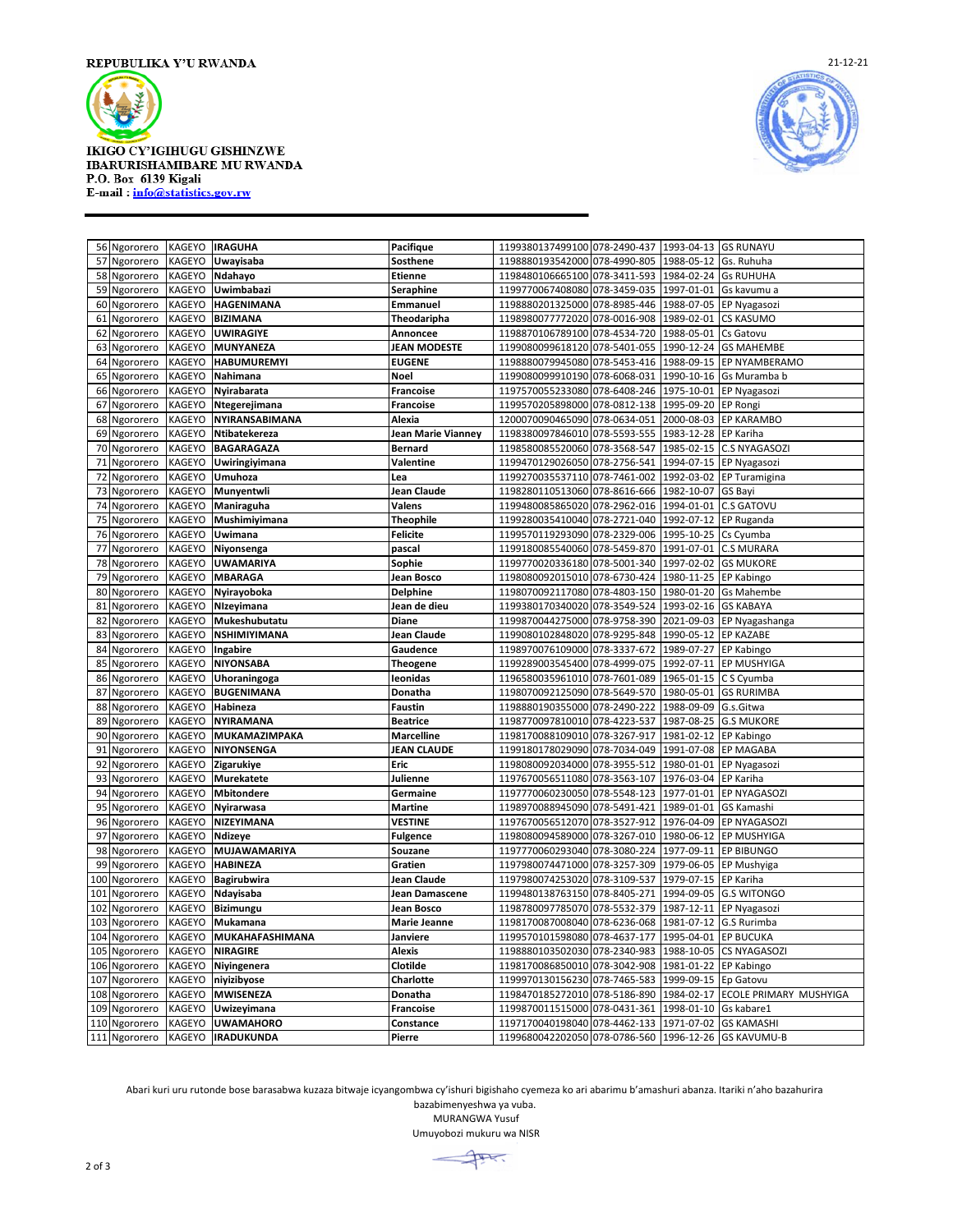

## **IKIGO CY'IGIHUGU GISHINZWE IBARURISHAMIBARE MU RWANDA** P.O. Box 6139 Kigali E-mail: info@statistics.gov.rw



|     | 56 Ngororero  | KAGEYO        | <b>IRAGUHA</b>         | Pacifique           | 1199380137499100 078-2490-437 1993-04-13 GS RUNAYU |              |            |                        |
|-----|---------------|---------------|------------------------|---------------------|----------------------------------------------------|--------------|------------|------------------------|
| 57  | Ngororero     | KAGEYO        | Uwayisaba              | <b>Sosthene</b>     | 1198880193542000 078-4990-805                      |              | 1988-05-12 | Gs. Ruhuha             |
| 58  | Ngororero     | KAGEYO        | Ndahayo                | <b>Etienne</b>      | 1198480106665100                                   | 078-3411-593 | 1984-02-24 | <b>Gs RUHUHA</b>       |
| 59  | Ngororero     | KAGEYO        | Uwimbabazi             | Seraphine           | 1199770067408080 078-3459-035                      |              | 1997-01-01 | Gs kavumu a            |
| 60  | Ngororero     | KAGEYO        | HAGENIMANA             | Emmanuel            | 1198880201325000 078-8985-446                      |              | 1988-07-05 | EP Nyagasozi           |
| 61  | Ngororero     | <b>KAGEYO</b> | <b>BIZIMANA</b>        | Theodaripha         | 1198980077772020                                   | 078-0016-908 | 1989-02-01 | CS KASUMO              |
| 62  | Ngororero     | KAGEYO        | <b>UWIRAGIYE</b>       | Annoncee            | 1198870106789100 078-4534-720                      |              | 1988-05-01 | Cs Gatovu              |
| 63  | Ngororero     | KAGEYO        | MUNYANEZA              | <b>JEAN MODESTE</b> | 1199080099618120                                   | 078-5401-055 | 1990-12-24 | <b>GS MAHEMBE</b>      |
| 64  | Ngororero     | KAGEYO        | <b>HABUMUREMYI</b>     | <b>EUGENE</b>       | 1198880079945080                                   | 078-5453-416 | 1988-09-15 | EP NYAMBERAMO          |
| 65  | Ngororero     | KAGEYO        | Nahimana               | Noel                | 1199080099910190 078-6068-031                      |              | 1990-10-16 | Gs Muramba b           |
| 66  | Ngororero     | KAGEYO        | Nyirabarata            | <b>Francoise</b>    | 1197570055233080                                   | 078-6408-246 | 1975-10-01 | EP Nyagasozi           |
| 67  | Ngororero     | KAGEYO        | Ntegerejimana          | <b>Francoise</b>    | 1199570205898000                                   | 078-0812-138 | 1995-09-20 | <b>EP Rongi</b>        |
| 68  | Ngororero     | <b>KAGEYO</b> | NYIRANSABIMANA         | Alexia              | 1200070090465090 078-0634-051                      |              | 2000-08-03 | EP KARAMBO             |
| 69  | Ngororero     | KAGEYO        | Ntibatekereza          | Jean Marie Vianney  | 1198380097846010                                   | 078-5593-555 | 1983-12-28 | EP Kariha              |
| 70  | Ngororero     | KAGEYO        | BAGARAGAZA             | <b>Bernard</b>      | 1198580085520060                                   | 078-3568-547 | 1985-02-15 | C.S NYAGASOZI          |
| 71  | Ngororero     | KAGEYO        | Uwiringiyimana         | Valentine           | 1199470129026050 078-2756-541                      |              | 1994-07-15 | EP Nyagasozi           |
| 72  | Ngororero     | KAGEYO        | Umuhoza                | Lea                 | 1199270035537110                                   | 078-7461-002 | 1992-03-02 | EP Turamigina          |
| 73  | Ngororero     | KAGEYO        | Munyentwli             | <b>Jean Claude</b>  | 1198280110513060 078-8616-666                      |              | 1982-10-07 | GS Bayi                |
| 74  | Ngororero     | KAGEYO        | Maniraguha             | Valens              | 1199480085865020 078-2962-016                      |              | 1994-01-01 | <b>C.S GATOVU</b>      |
| 75  | Ngororero     | KAGEYO        | Mushimiyimana          | <b>Theophile</b>    | 1199280035410040 078-2721-040                      |              | 1992-07-12 | EP Ruganda             |
| 76  | Ngororero     | KAGEYO        | Uwimana                | <b>Felicite</b>     | 1199570119293090 078-2329-006                      |              | 1995-10-25 | Cs Cyumba              |
| 77  | Ngororero     | KAGEYO        | Niyonsenga             | pascal              | 1199180085540060 078-5459-870                      |              | 1991-07-01 | <b>C.S MURARA</b>      |
| 78  | Ngororero     | KAGEYO        | <b>UWAMARIYA</b>       | Sophie              | 1199770020336180 078-5001-340                      |              | 1997-02-02 | <b>GS MUKORE</b>       |
| 79  | Ngororero     | KAGEYO        | <b>MBARAGA</b>         | Jean Bosco          | 1198080092015010 078-6730-424                      |              | 1980-11-25 | EP Kabingo             |
| 80  | Ngororero     | KAGEYO        | Nyirayoboka            | <b>Delphine</b>     | 1198070092117080 078-4803-150                      |              | 1980-01-20 | <b>Gs Mahembe</b>      |
| 81  | Ngororero     | KAGEYO        | Nizeyimana             | Jean de dieu        | 1199380170340020 078-3549-524                      |              | 1993-02-16 | <b>GS KABAYA</b>       |
| 82  | Ngororero     | KAGEYO        | Mukeshubutatu          | Diane               | 1199870044275000 078-9758-390                      |              | 2021-09-03 | EP Nyagashanga         |
| 83  | Ngororero     | <b>KAGEYO</b> | <b>NSHIMIYIMANA</b>    | Jean Claude         | 1199080102848020 078-9295-848                      |              | 1990-05-12 | <b>EP KAZABE</b>       |
| 84  | Ngororero     | KAGEYO        | Ingabire               | Gaudence            | 1198970076109000 078-3337-672                      |              | 1989-07-27 | EP Kabingo             |
| 85  | Ngororero     | KAGEYO        | <b>NIYONSABA</b>       | <b>Theogene</b>     | 1199289003545400 078-4999-075                      |              | 1992-07-11 | EP MUSHYIGA            |
| 86  | Ngororero     | <b>KAGEYO</b> | Uhoraningoga           | leonidas            | 1196580035961010 078-7601-089                      |              | 1965-01-15 | C S Cyumba             |
| 87  | Ngororero     | KAGEYO        | <b>BUGENIMANA</b>      | Donatha             | 1198070092125090 078-5649-570                      |              | 1980-05-01 | <b>GS RURIMBA</b>      |
| 88  | Ngororero     | KAGEYO        | Habineza               | <b>Faustin</b>      | 1198880190355000                                   | 078-2490-222 | 1988-09-09 | G.s.Gitwa              |
| 89  | Ngororero     | KAGEYO        | <b>NYIRAMANA</b>       | <b>Beatrice</b>     | 1198770097810010 078-4223-537                      |              | 1987-08-25 | <b>G.S MUKORE</b>      |
| 90  | Ngororero     | KAGEYO        | MUKAMAZIMPAKA          | <b>Marcelline</b>   | 1198170088109010 078-3267-917                      |              | 1981-02-12 | EP Kabingo             |
| 91  | Ngororero     | KAGEYO        | NIYONSENGA             | <b>JEAN CLAUDE</b>  | 1199180178029090                                   | 078-7034-049 | 1991-07-08 | <b>EP MAGABA</b>       |
| 92  | Ngororero     | KAGEYO        | Zigarukiye             | Eric                | 1198080092034000 078-3955-512                      |              | 1980-01-01 | EP Nyagasozi           |
| 93  | Ngororero     | <b>KAGEYO</b> | <b>Murekatete</b>      | Julienne            | 1197670056511080 078-3563-107                      |              | 1976-03-04 | EP Kariha              |
| 94  | Ngororero     | KAGEYO        | <b>Mbitondere</b>      | Germaine            | 1197770060230050                                   | 078-5548-123 | 1977-01-01 | EP NYAGASOZI           |
| 95  | Ngororero     | KAGEYO        | Nyirarwasa             | <b>Martine</b>      | 1198970088945090 078-5491-421                      |              | 1989-01-01 | GS Kamashi             |
| 96  | Ngororero     | KAGEYO        | NIZEYIMANA             | <b>VESTINE</b>      | 1197670056512070 078-3527-912                      |              | 1976-04-09 | EP NYAGASOZI           |
| 97  | Ngororero     | <b>KAGEYO</b> | Ndizeye                | <b>Fulgence</b>     | 1198080094589000                                   | 078-3267-010 | 1980-06-12 | EP MUSHYIGA            |
| 98  | Ngororero     | KAGEYO        | MUJAWAMARIYA           | Souzane             | 1197770060293040 078-3080-224                      |              | 1977-09-11 | <b>EP BIBUNGO</b>      |
| 99  | Ngororero     | KAGEYO        | <b>HABINEZA</b>        | Gratien             | 1197980074471000 078-3257-309                      |              | 1979-06-05 | EP Mushyiga            |
| 100 | Ngororero     | KAGEYO        | <b>Bagirubwira</b>     | Jean Claude         | 1197980074253020                                   | 078-3109-537 | 1979-07-15 | EP Kariha              |
| 101 | Ngororero     | KAGEYO        | Ndayisaba              | Jean Damascene      | 1199480138763150                                   | 078-8405-271 | 1994-09-05 | <b>G.S WITONGO</b>     |
| 102 | Ngororero     | KAGEYO        | <b>Bizimungu</b>       | Jean Bosco          | 1198780097785070                                   | 078-5532-379 | 1987-12-11 | EP Nyagasozi           |
| 103 | Ngororero     | KAGEYO        | Mukamana               | <b>Marie Jeanne</b> | 1198170087008040 078-6236-068                      |              | 1981-07-12 | G.S Rurimba            |
| 104 | Ngororero     | KAGEYO        | <b>MUKAHAFASHIMANA</b> | Janviere            | 1199570101598080 078-4637-177                      |              | 1995-04-01 | <b>EP BUCUKA</b>       |
| 105 | Ngororero     | KAGEYO        | <b>NIRAGIRE</b>        | <b>Alexis</b>       | 1198880103502030 078-2340-983                      |              | 1988-10-05 | CS NYAGASOZI           |
| 106 | Ngororero     | KAGEYO        | Niyingenera            | Clotilde            | 1198170086850010 078-3042-908                      |              | 1981-01-22 | EP Kabingo             |
| 107 | Ngororero     | KAGEYO        | niyizibyose            | Charlotte           | 1199970130156230 078-7465-583                      |              | 1999-09-15 | Ep Gatovu              |
| 108 | Ngororero     | KAGEYO        | <b>MWISENEZA</b>       | Donatha             | 1198470185272010                                   | 078-5186-890 | 1984-02-17 | ECOLE PRIMARY MUSHYIGA |
| 109 | Ngororero     | KAGEYO        | Uwizeyimana            | <b>Francoise</b>    | 1199870011515000 078-0431-361                      |              | 1998-01-10 | Gs kabare1             |
|     | 110 Ngororero | KAGEYO        | <b>UWAMAHORO</b>       | Constance           | 1197170040198040 078-4462-133                      |              | 1971-07-02 | <b>GS KAMASHI</b>      |
|     | 111 Ngororero | KAGEYO        | <b>IRADUKUNDA</b>      | Pierre              | 1199680042202050 078-0786-560 1996-12-26           |              |            | <b>GS KAVUMU-B</b>     |

Abari kuri uru rutonde bose barasabwa kuzaza bitwaje icyangombwa cy'ishuri bigishaho cyemeza ko ari abarimu b'amashuri abanza. Itariki n'aho bazahurira

bazabimenyeshwa ya vuba. MURANGWA Yusuf

Umuyobozi mukuru wa NISR